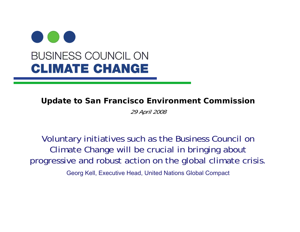

**Update to San Francisco Environment Commission**

29 April 2008

Voluntary initiatives such as the Business Council on Climate Change will be crucial in bringing about progressive and robust action on the global climate crisis.

Georg Kell, Executive Head, United Nations Global Compact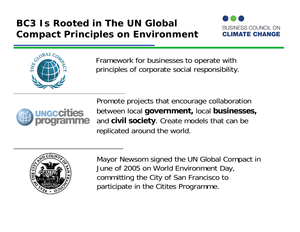## **BC3 Is Rooted in The UN Global Compact Principles on Environment**





Framework for businesses to operate with principles of corporate social responsibility.



Promote projects that encourage collaboration between local **government,** local **businesses,** and **civil society**. Create models that can be replicated around the world.



Mayor Newsom signed the UN Global Compact in June of 2005 on World Environment Day, committing the City of San Francisco to participate in the Citites Programme.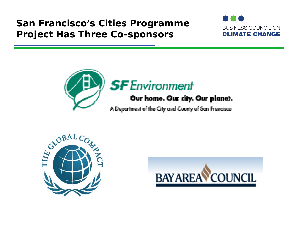## **San Francisco's Cities Programme Project Has Three Co-sponsors**





# **SF** Environment

## Our home. Our city. Our planet.

A Department of the City and County of San Francisco



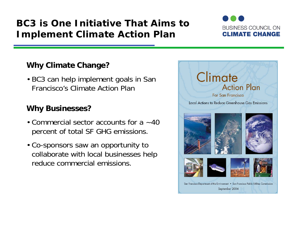## **BC3 is One Initiative That Aims to Implement Climate Action Plan**



#### **Why Climate Change?**

• BC3 can help implement goals in San Francisco's Climate Action Plan

#### **Why Businesses?**

- Commercial sector accounts for a ~40 percent of total SF GHG emissions.
- Co-sponsors saw an opportunity to collaborate with local businesses help reduce commercial emissions.

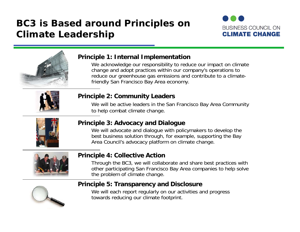## **BC3 is Based around Principles on Climate Leadership**





#### **Principle 1: Internal Implementation**

We acknowledge our responsibility to reduce our impact on climate change and adopt practices within our company's operations to reduce our greenhouse gas emissions and contribute to a climatefriendly San Francisco Bay Area economy.



#### **Principle 2: Community Leaders**

We will be active leaders in the San Francisco Bay Area Community to help combat climate change.



#### **Principle 3: Advocacy and Dialogue**

We will advocate and dialogue with policymakers to develop the best business solution through, for example, supporting the Bay Area Council's advocacy platform on climate change.



#### **Principle 4: Collective Action**

Through the BC3, we will collaborate and share best practices with other participating San Francisco Bay Area companies to help solve the problem of climate change.



#### **Principle 5: Transparency and Disclosure**

We will each report regularly on our activities and progress towards reducing our climate footprint.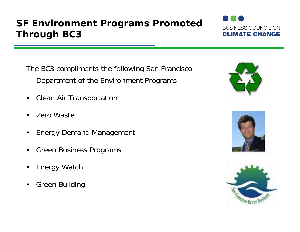## **SF Environment Programs Promoted Through BC3**



The BC3 compliments the following San Francisco Department of the Environment Programs

- $\bullet$ Clean Air Transportation
- •Zero Waste
- $\bullet$ Energy Demand Management
- •Green Business Programs
- •Energy Watch
- •Green Building





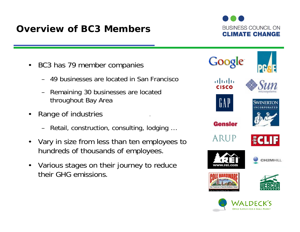## **Overview of BC3 Members**

**BUSINESS COUNCIL ON CLIMATE CHANGE** 

- $\bullet$  BC3 has 79 member companies
	- 49 businesses are located in San Francisco
	- Remaining 30 businesses are located throughout Bay Area
- $\bullet$  Range of industries
	- Retail, construction, consulting, lodging …
- $\bullet$  Vary in size from less than ten employees to hundreds of thousands of employees.
- Various stages on their journey to reduce their GHG emissions.

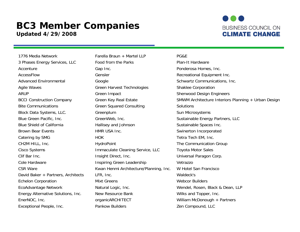#### **BC3 Member Companies Updated 4/29/2008**



1776 Media Network The State of Farella Braun + Martel LLP PG&E Exceptional People, Inc. The Pankow Builders Compound, Equipment Pankow Builders Zen Compound, LLC

3 Phases Energy Services, LLC Food from the Parks Plan-It Hardware Accenture **Gap Inc.** Gap Inc. **Ponderosa Homes, Inc.** Ponderosa Homes, Inc. AccessFlow Gensler Genser Constanting Recreational Equipment Inc. Advanced Environmental Google Google Schwartz Communications, Inc. Agile Waves **Green Harvest Technologies** Shaklee Corporation ARUP **Green Impact** Green Construction Sherwood Design Engineers Bite Communications The Green Squared Consulting The Communications Solutions Block Data Systems, LLC. The Greenplum Sun Microsystems Sun Microsystems Blue Green Pacific, Inc. The GreenWeb, Inc. Sustainable Energy Partners, LLC Blue Shield of California **Hallisey and Johnson** Sustainable Spaces Inc. Brown Bear Events **Exercise Exercise Server A HMR USA Inc.** Swinerton Incorporated Catering by SMG **HOK** HOK Tetra Tech EM, Inc. CH2M HILL, Inc. The Communication Group Cisco Systems Immaculate Cleaning Service, LLC Toyota Motor Sales Clif Bar Inc. **Insight Direct, Inc.** Inc. The Universal Paragon Corp. Cole Hardware **Inspiring Green Leadership** Vetrazzo CSR Ware **Kwan Henmi Architecture/Planning, Inc.** W Hotel San Francisco David Baker + Partners, Architects LFR, Inc. Waldeck's Echelon Corporation **Mixt Greens** Mixt Greens Webcor Builders EcoAdvantage Network **Natural Logic, Inc.** Network Mendel, Rosen, Black & Dean, LLP Energy Alternative Solutions, Inc. New Resource Bank Nilks and Topper, Inc. EnerNOC, Inc. **EnerNOC, Inc.** organicARCHITECT William McDonough + Partners

BCCI Construction Company Green Key Real Estate SMWM Architecture Interiors Planning + Urban Design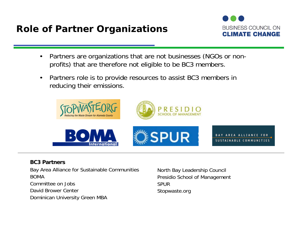**Role of Partner Organizations**



- • Partners are organizations that are not businesses (NGOs or nonprofits) that are therefore not eligible to be BC3 members.
- $\bullet$  Partners role is to provide resources to assist BC3 members in reducing their emissions.



#### **BC3 Partners**

Bay Area Alliance for Sustainable Communities BOMACommittee on Jobs

David Brower Center

Dominican University Green MBA

North Bay Leadership Council Presidio School of Management SPURStopwaste.org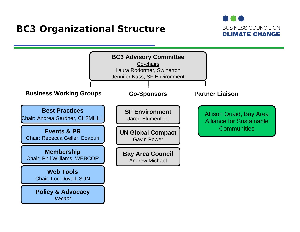## **BC3 Organizational Structure**



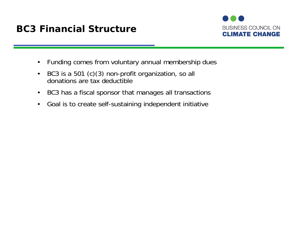## **BC3 Financial Structure**



- $\bullet$ Funding comes from voluntary annual membership dues
- $\bullet$  BC3 is a 501 (c)(3) non-profit organization, so all donations are tax deductible
- $\bullet$ BC3 has a fiscal sponsor that manages all transactions
- $\bullet$ Goal is to create self-sustaining independent initiative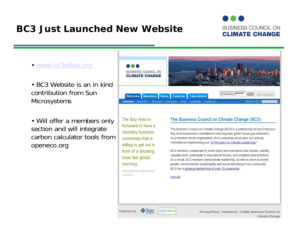## **BC3 Just Launched New Website**



- www.bc3sfbay.org
- BC3 Website is an in kind contribution from Sun **Microsystems**
- Will offer a members only section and will integrate carbon calculator tools from openeco.org



The Bay Area is fortunate to have a visionary business community that is willing to get out in front of a daunting issue like global warming.

Gavin Newsom, Mayor of San

Francisco

#### The Business Council on Climate Change (BC3)

The Business Council on Climate Change (BC3) is a partnership of San Francisco Bay Area businesses committed to reducing their green house gas emissions. As a member-driven organization, BC3 companies of all sizes are actively committed to implementing our "5 Principles on Climate Leadership."

BC3 members collaborate to share ideas and real-world case studies, identify valuable tools, participate in educational forums, and establish best practices. As a result, BC3 members demonstrate leadership, as well as drive economic growth, environmental sustainability and social well-being in our community. BC3 has a growing membership of over 70 companies

#### Join us!

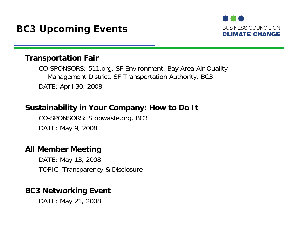

#### **Transportation Fair**

CO-SPONSORS: 511.org, SF Environment, Bay Area Air Quality Management District, SF Transportation Authority, BC3 DATE: April 30, 2008

### **Sustainability in Your Company: How to Do It**

CO-SPONSORS: Stopwaste.org, BC3 DATE: May 9, 2008

#### **All Member Meeting**

DATE: May 13, 2008 TOPIC: Transparency & Disclosure

### **BC3 Networking Event**

DATE: May 21, 2008